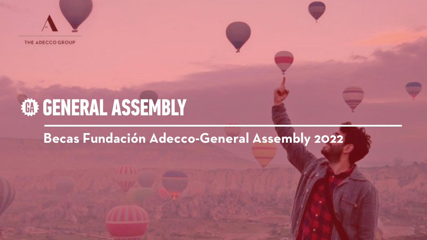

THE ADECCO GROUP

# **WE GENERAL ASSEMBLY**

#### **Becas Fundación Adecco-General Assembly 2022**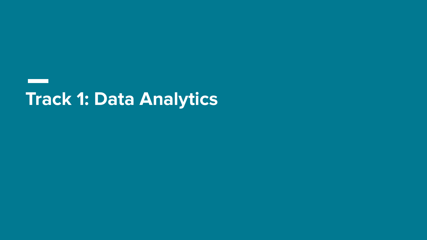## **Track 1: Data Analytics**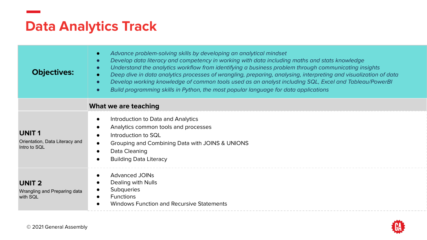#### **Data Analytics Track**

| <b>Objectives:</b>                                             | Advance problem-solving skills by developing an analytical mindset<br>$\bullet$<br>Develop data literacy and competency in working with data including maths and stats knowledge<br>$\bullet$<br>Understand the analytics workflow from identifying a business problem through communicating insights<br>$\bullet$<br>Deep dive in data analytics processes of wrangling, preparing, analysing, interpreting and visualization of data<br>$\bullet$<br>Develop working knowledge of common tools used as an analyst including SQL, Excel and Tableau/PowerBI<br>$\bullet$<br>Build programming skills in Python, the most popular language for data applications<br>$\bullet$ |
|----------------------------------------------------------------|-------------------------------------------------------------------------------------------------------------------------------------------------------------------------------------------------------------------------------------------------------------------------------------------------------------------------------------------------------------------------------------------------------------------------------------------------------------------------------------------------------------------------------------------------------------------------------------------------------------------------------------------------------------------------------|
|                                                                | What we are teaching                                                                                                                                                                                                                                                                                                                                                                                                                                                                                                                                                                                                                                                          |
| <b>UNIT1</b><br>Orientation, Data Literacy and<br>Intro to SOL | Introduction to Data and Analytics<br>$\bullet$<br>Analytics common tools and processes<br>$\bullet$<br>Introduction to SQL<br>$\bullet$<br>Grouping and Combining Data with JOINS & UNIONS<br>$\bullet$<br>Data Cleaning<br>$\bullet$<br><b>Building Data Literacy</b>                                                                                                                                                                                                                                                                                                                                                                                                       |
| <b>UNIT 2</b><br>Wrangling and Preparing data<br>with SQL      | <b>Advanced JOINs</b><br>$\bullet$<br>Dealing with Nulls<br><b>Subqueries</b><br>$\bullet$<br><b>Functions</b><br>$\bullet$<br>Windows Function and Recursive Statements                                                                                                                                                                                                                                                                                                                                                                                                                                                                                                      |

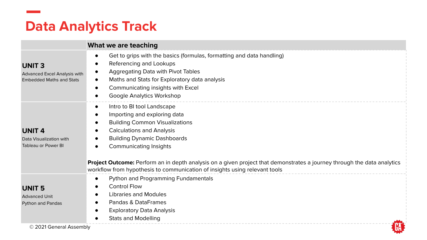#### **Data Analytics Track**

|                                                                                 | What we are teaching                                                                                                                                                                                                                                                                                                                                                                                                                       |
|---------------------------------------------------------------------------------|--------------------------------------------------------------------------------------------------------------------------------------------------------------------------------------------------------------------------------------------------------------------------------------------------------------------------------------------------------------------------------------------------------------------------------------------|
| <b>UNIT3</b><br>Advanced Excel Analysis with<br><b>Embedded Maths and Stats</b> | Get to grips with the basics (formulas, formatting and data handling)<br>Referencing and Lookups<br>Aggregating Data with Pivot Tables<br>Maths and Stats for Exploratory data analysis<br>$\bullet$<br>Communicating insights with Excel<br>$\bullet$<br>Google Analytics Workshop                                                                                                                                                        |
| <b>UNIT 4</b><br>Data Visualization with<br><b>Tableau or Power BI</b>          | Intro to BI tool Landscape<br>$\bullet$<br>Importing and exploring data<br><b>Building Common Visualizations</b><br>$\bullet$<br><b>Calculations and Analysis</b><br><b>Building Dynamic Dashboards</b><br>Communicating Insights<br>Project Outcome: Perform an in depth analysis on a given project that demonstrates a journey through the data analytics<br>workflow from hypothesis to communication of insights using relevant tools |
| <b>UNIT 5</b><br><b>Advanced Unit</b><br>Python and Pandas                      | Python and Programming Fundamentals<br>$\bullet$<br><b>Control Flow</b><br>$\bullet$<br>Libraries and Modules<br>$\bullet$<br>Pandas & DataFrames<br>$\bullet$<br><b>Exploratory Data Analysis</b><br>$\bullet$<br><b>Stats and Modelling</b>                                                                                                                                                                                              |
| © 2021 General Assembly                                                         |                                                                                                                                                                                                                                                                                                                                                                                                                                            |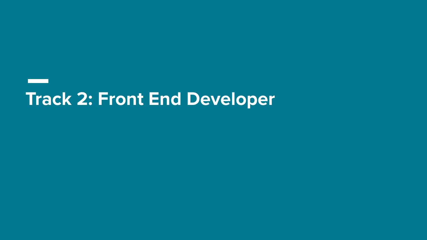### **Track 2: Front End Developer**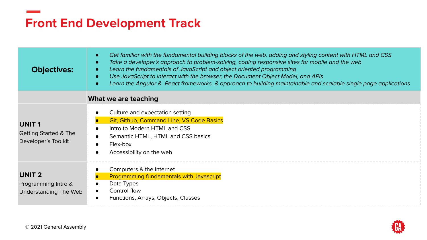### **Front End Development Track**

| <b>Objectives:</b>                                                      | Get familiar with the fundamental building blocks of the web, adding and styling content with HTML and CSS<br>Take a developer's approach to problem-solving, coding responsive sites for mobile and the web<br>$\bullet$<br>Learn the fundamentals of JavaScript and object oriented programming<br>$\bullet$<br>Use JavaScript to interact with the browser, the Document Object Model, and APIs<br>Learn the Angular & React frameworks. & approach to building maintainable and scalable single page applications<br>$\bullet$ |
|-------------------------------------------------------------------------|------------------------------------------------------------------------------------------------------------------------------------------------------------------------------------------------------------------------------------------------------------------------------------------------------------------------------------------------------------------------------------------------------------------------------------------------------------------------------------------------------------------------------------|
|                                                                         | What we are teaching                                                                                                                                                                                                                                                                                                                                                                                                                                                                                                               |
| <b>UNIT1</b><br><b>Getting Started &amp; The</b><br>Developer's Toolkit | Culture and expectation setting<br><b>Git, Github, Command Line, VS Code Basics</b><br>Intro to Modern HTML and CSS<br>Semantic HTML, HTML and CSS basics<br>Flex-box<br>Accessibility on the web                                                                                                                                                                                                                                                                                                                                  |
| <b>UNIT 2</b><br>Programming Intro &<br>Understanding The Web           | Computers & the internet<br><b>Programming fundamentals with Javascript</b><br>Data Types<br>Control flow<br>Functions, Arrays, Objects, Classes                                                                                                                                                                                                                                                                                                                                                                                   |

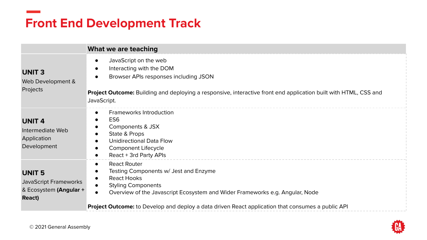#### **Front End Development Track**

|                                                                            | What we are teaching                                                                                                                                                                                                                                    |
|----------------------------------------------------------------------------|---------------------------------------------------------------------------------------------------------------------------------------------------------------------------------------------------------------------------------------------------------|
| <b>UNIT3</b><br>Web Development &<br>Projects                              | JavaScript on the web<br>$\bullet$<br>Interacting with the DOM<br>$\bullet$<br>Browser APIs responses including JSON<br>Project Outcome: Building and deploying a responsive, interactive front end application built with HTML, CSS and<br>JavaScript. |
| <b>UNIT 4</b><br>Intermediate Web<br>Application<br>Development            | <b>Frameworks Introduction</b><br>٠<br>ES <sub>6</sub><br>Components & JSX<br>٠<br>State & Props<br><b>Unidirectional Data Flow</b><br>$\bullet$<br>Component Lifecycle<br>React + 3rd Party APIs<br>$\bullet$                                          |
| <b>UNIT 5</b><br>JavaScript Frameworks<br>& Ecosystem (Angular +<br>React) | <b>React Router</b><br>$\bullet$<br>Testing Components w/ Jest and Enzyme<br>٠<br><b>React Hooks</b><br><b>Styling Components</b><br>Overview of the Javascript Ecosystem and Wider Frameworks e.g. Angular, Node                                       |
|                                                                            | Project Outcome: to Develop and deploy a data driven React application that consumes a public API                                                                                                                                                       |

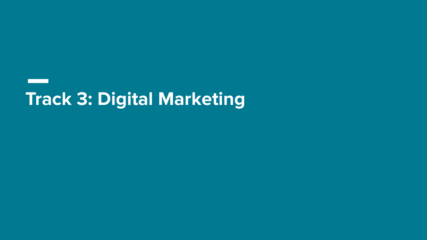## **Track 3: Digital Marketing**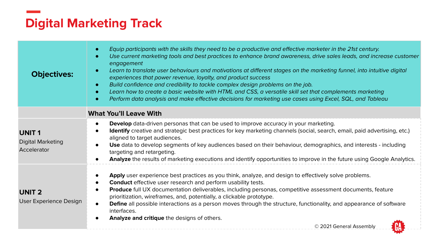#### **Digital Marketing Track**

| <b>Objectives:</b>                                      | Equip participants with the skills they need to be a productive and effective marketer in the 21st century.<br>Use current marketing tools and best practices to enhance brand awareness, drive sales leads, and increase customer<br>engagement<br>Learn to translate user behaviours and motivations at different stages on the marketing funnel, into intuitive digital<br>experiences that power revenue, loyalty, and product success<br>Build confidence and credibility to tackle complex design problems on the job.<br>Learn how to create a basic website with HTML and CSS, a versatile skill set that complements marketing<br>Perform data analysis and make effective decisions for marketing use cases using Excel, SQL, and Tableau |
|---------------------------------------------------------|-----------------------------------------------------------------------------------------------------------------------------------------------------------------------------------------------------------------------------------------------------------------------------------------------------------------------------------------------------------------------------------------------------------------------------------------------------------------------------------------------------------------------------------------------------------------------------------------------------------------------------------------------------------------------------------------------------------------------------------------------------|
|                                                         | <b>What You'll Leave With</b>                                                                                                                                                                                                                                                                                                                                                                                                                                                                                                                                                                                                                                                                                                                       |
| <b>UNIT1</b><br><b>Digital Marketing</b><br>Accelerator | <b>Develop</b> data-driven personas that can be used to improve accuracy in your marketing.<br>Identify creative and strategic best practices for key marketing channels (social, search, email, paid advertising, etc.)<br>aligned to target audiences.<br>Use data to develop segments of key audiences based on their behaviour, demographics, and interests - including<br>targeting and retargeting.<br>Analyze the results of marketing executions and identify opportunities to improve in the future using Google Analytics.                                                                                                                                                                                                                |
| <b>UNIT 2</b><br>User Experience Design                 | Apply user experience best practices as you think, analyze, and design to effectively solve problems.<br><b>Conduct</b> effective user research and perform usability tests.<br>Produce full UX documentation deliverables, including personas, competitive assessment documents, feature<br>prioritization, wireframes, and, potentially, a clickable prototype.<br>Define all possible interactions as a person moves through the structure, functionality, and appearance of software<br>interfaces.<br>Analyze and critique the designs of others.<br>© 2021 General Assembly                                                                                                                                                                   |